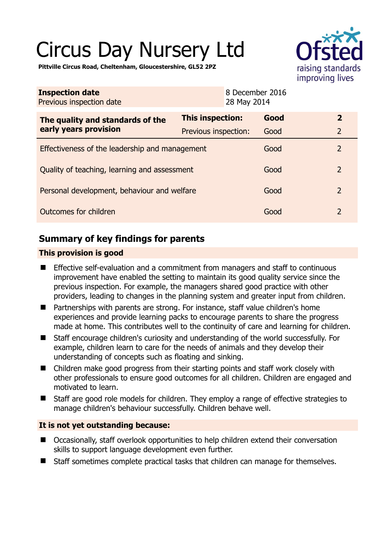# Circus Day Nursery Ltd



**Pittville Circus Road, Cheltenham, Gloucestershire, GL52 2PZ** 

| <b>Inspection date</b><br>Previous inspection date        |                      | 8 December 2016<br>28 May 2014 |                |
|-----------------------------------------------------------|----------------------|--------------------------------|----------------|
| The quality and standards of the<br>early years provision | This inspection:     | Good                           | $\mathbf{2}$   |
|                                                           | Previous inspection: | Good                           | $\overline{2}$ |
| Effectiveness of the leadership and management            |                      | Good                           | $\overline{2}$ |
| Quality of teaching, learning and assessment              |                      | Good                           | $\overline{2}$ |
| Personal development, behaviour and welfare               |                      | Good                           | $\overline{2}$ |
| Outcomes for children                                     |                      | Good                           | 2              |

# **Summary of key findings for parents**

## **This provision is good**

- Effective self-evaluation and a commitment from managers and staff to continuous improvement have enabled the setting to maintain its good quality service since the previous inspection. For example, the managers shared good practice with other providers, leading to changes in the planning system and greater input from children.
- Partnerships with parents are strong. For instance, staff value children's home experiences and provide learning packs to encourage parents to share the progress made at home. This contributes well to the continuity of care and learning for children.
- Staff encourage children's curiosity and understanding of the world successfully. For example, children learn to care for the needs of animals and they develop their understanding of concepts such as floating and sinking.
- Children make good progress from their starting points and staff work closely with other professionals to ensure good outcomes for all children. Children are engaged and motivated to learn.
- Staff are good role models for children. They employ a range of effective strategies to manage children's behaviour successfully. Children behave well.

## **It is not yet outstanding because:**

- Occasionally, staff overlook opportunities to help children extend their conversation skills to support language development even further.
- Staff sometimes complete practical tasks that children can manage for themselves.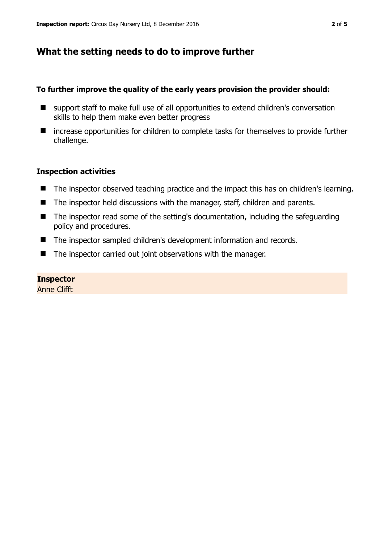# **What the setting needs to do to improve further**

#### **To further improve the quality of the early years provision the provider should:**

- support staff to make full use of all opportunities to extend children's conversation skills to help them make even better progress
- increase opportunities for children to complete tasks for themselves to provide further challenge.

#### **Inspection activities**

- The inspector observed teaching practice and the impact this has on children's learning.
- The inspector held discussions with the manager, staff, children and parents.
- The inspector read some of the setting's documentation, including the safeguarding policy and procedures.
- The inspector sampled children's development information and records.
- The inspector carried out joint observations with the manager.

#### **Inspector**

Anne Clifft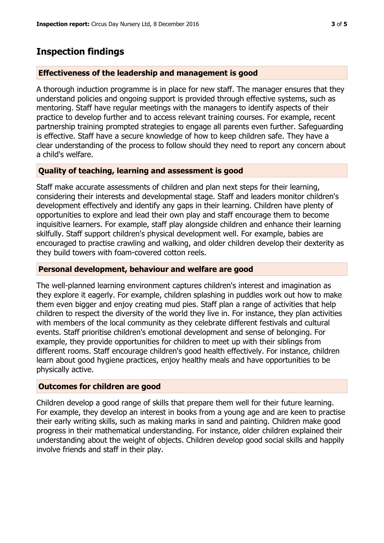# **Inspection findings**

#### **Effectiveness of the leadership and management is good**

A thorough induction programme is in place for new staff. The manager ensures that they understand policies and ongoing support is provided through effective systems, such as mentoring. Staff have regular meetings with the managers to identify aspects of their practice to develop further and to access relevant training courses. For example, recent partnership training prompted strategies to engage all parents even further. Safeguarding is effective. Staff have a secure knowledge of how to keep children safe. They have a clear understanding of the process to follow should they need to report any concern about a child's welfare.

## **Quality of teaching, learning and assessment is good**

Staff make accurate assessments of children and plan next steps for their learning, considering their interests and developmental stage. Staff and leaders monitor children's development effectively and identify any gaps in their learning. Children have plenty of opportunities to explore and lead their own play and staff encourage them to become inquisitive learners. For example, staff play alongside children and enhance their learning skilfully. Staff support children's physical development well. For example, babies are encouraged to practise crawling and walking, and older children develop their dexterity as they build towers with foam-covered cotton reels.

#### **Personal development, behaviour and welfare are good**

The well-planned learning environment captures children's interest and imagination as they explore it eagerly. For example, children splashing in puddles work out how to make them even bigger and enjoy creating mud pies. Staff plan a range of activities that help children to respect the diversity of the world they live in. For instance, they plan activities with members of the local community as they celebrate different festivals and cultural events. Staff prioritise children's emotional development and sense of belonging. For example, they provide opportunities for children to meet up with their siblings from different rooms. Staff encourage children's good health effectively. For instance, children learn about good hygiene practices, enjoy healthy meals and have opportunities to be physically active.

## **Outcomes for children are good**

Children develop a good range of skills that prepare them well for their future learning. For example, they develop an interest in books from a young age and are keen to practise their early writing skills, such as making marks in sand and painting. Children make good progress in their mathematical understanding. For instance, older children explained their understanding about the weight of objects. Children develop good social skills and happily involve friends and staff in their play.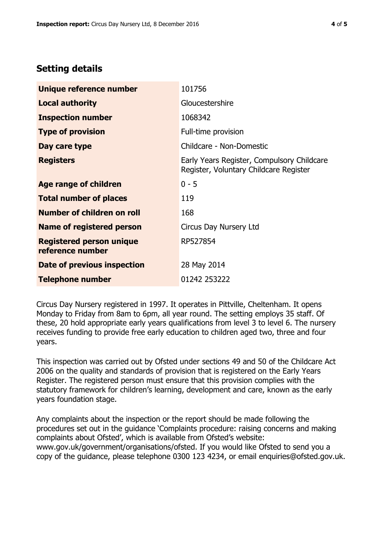# **Setting details**

| Unique reference number                             | 101756                                                                               |  |
|-----------------------------------------------------|--------------------------------------------------------------------------------------|--|
| <b>Local authority</b>                              | Gloucestershire                                                                      |  |
| <b>Inspection number</b>                            | 1068342                                                                              |  |
| <b>Type of provision</b>                            | Full-time provision                                                                  |  |
| Day care type                                       | Childcare - Non-Domestic                                                             |  |
| <b>Registers</b>                                    | Early Years Register, Compulsory Childcare<br>Register, Voluntary Childcare Register |  |
| Age range of children                               | $0 - 5$                                                                              |  |
| <b>Total number of places</b>                       | 119                                                                                  |  |
| <b>Number of children on roll</b>                   | 168                                                                                  |  |
| Name of registered person                           | Circus Day Nursery Ltd                                                               |  |
| <b>Registered person unique</b><br>reference number | RP527854                                                                             |  |
| Date of previous inspection                         | 28 May 2014                                                                          |  |
| <b>Telephone number</b>                             | 01242 253222                                                                         |  |

Circus Day Nursery registered in 1997. It operates in Pittville, Cheltenham. It opens Monday to Friday from 8am to 6pm, all year round. The setting employs 35 staff. Of these, 20 hold appropriate early years qualifications from level 3 to level 6. The nursery receives funding to provide free early education to children aged two, three and four years.

This inspection was carried out by Ofsted under sections 49 and 50 of the Childcare Act 2006 on the quality and standards of provision that is registered on the Early Years Register. The registered person must ensure that this provision complies with the statutory framework for children's learning, development and care, known as the early years foundation stage.

Any complaints about the inspection or the report should be made following the procedures set out in the guidance 'Complaints procedure: raising concerns and making complaints about Ofsted', which is available from Ofsted's website: www.gov.uk/government/organisations/ofsted. If you would like Ofsted to send you a copy of the guidance, please telephone 0300 123 4234, or email enquiries@ofsted.gov.uk.